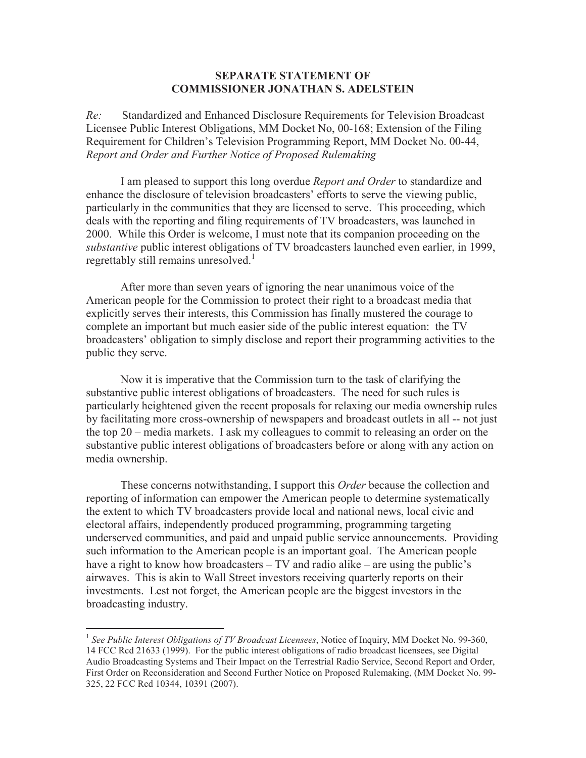## **SEPARATE STATEMENT OF COMMISSIONER JONATHAN S. ADELSTEIN**

*Re:* Standardized and Enhanced Disclosure Requirements for Television Broadcast Licensee Public Interest Obligations, MM Docket No, 00-168; Extension of the Filing Requirement for Children's Television Programming Report, MM Docket No. 00-44, *Report and Order and Further Notice of Proposed Rulemaking*

I am pleased to support this long overdue *Report and Order* to standardize and enhance the disclosure of television broadcasters' efforts to serve the viewing public, particularly in the communities that they are licensed to serve. This proceeding, which deals with the reporting and filing requirements of TV broadcasters, was launched in 2000. While this Order is welcome, I must note that its companion proceeding on the *substantive* public interest obligations of TV broadcasters launched even earlier, in 1999, regrettably still remains unresolved.<sup>1</sup>

After more than seven years of ignoring the near unanimous voice of the American people for the Commission to protect their right to a broadcast media that explicitly serves their interests, this Commission has finally mustered the courage to complete an important but much easier side of the public interest equation: the TV broadcasters' obligation to simply disclose and report their programming activities to the public they serve.

Now it is imperative that the Commission turn to the task of clarifying the substantive public interest obligations of broadcasters. The need for such rules is particularly heightened given the recent proposals for relaxing our media ownership rules by facilitating more cross-ownership of newspapers and broadcast outlets in all -- not just the top 20 – media markets. I ask my colleagues to commit to releasing an order on the substantive public interest obligations of broadcasters before or along with any action on media ownership.

These concerns notwithstanding, I support this *Order* because the collection and reporting of information can empower the American people to determine systematically the extent to which TV broadcasters provide local and national news, local civic and electoral affairs, independently produced programming, programming targeting underserved communities, and paid and unpaid public service announcements. Providing such information to the American people is an important goal. The American people have a right to know how broadcasters – TV and radio alike – are using the public's airwaves. This is akin to Wall Street investors receiving quarterly reports on their investments. Lest not forget, the American people are the biggest investors in the broadcasting industry.

<sup>&</sup>lt;sup>1</sup> See Public Interest Obligations of TV Broadcast Licensees, Notice of Inquiry, MM Docket No. 99-360, 14 FCC Rcd 21633 (1999). For the public interest obligations of radio broadcast licensees, see Digital Audio Broadcasting Systems and Their Impact on the Terrestrial Radio Service, Second Report and Order, First Order on Reconsideration and Second Further Notice on Proposed Rulemaking, (MM Docket No. 99- 325, 22 FCC Rcd 10344, 10391 (2007).